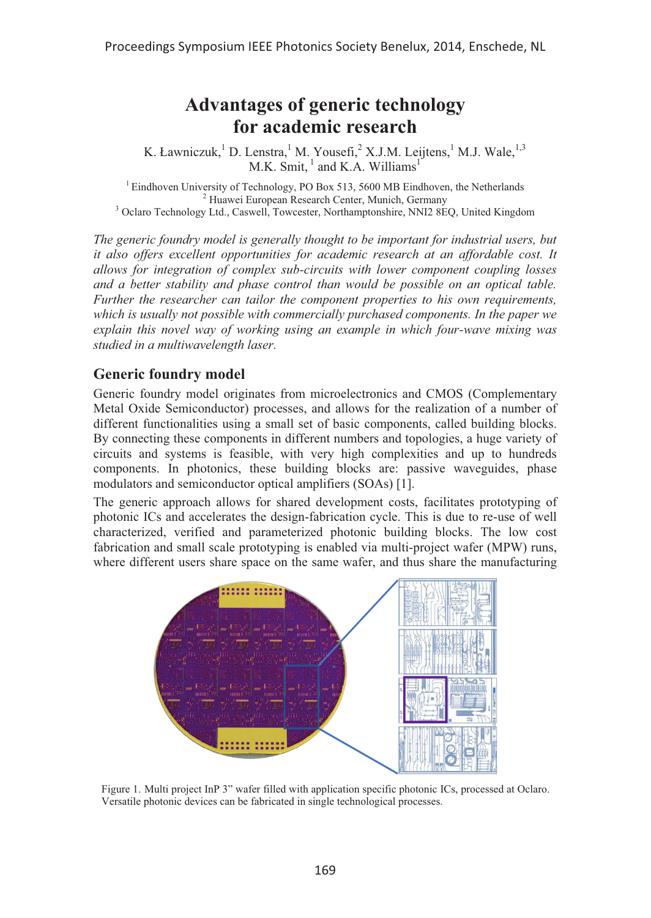# **Advantages of generic technology for academic research**

K. Ławniczuk, <sup>1</sup> D. Lenstra, <sup>1</sup> M. Yousefi, <sup>2</sup> X.J.M. Leijtens, <sup>1</sup> M.J. Wale, <sup>1,3</sup> M.K. Smit, $\frac{1}{1}$  and K.A. Williams<sup>1</sup>

<sup>1</sup> Eindhoven University of Technology, PO Box 513, 5600 MB Eindhoven, the Netherlands <sup>2</sup> Huawei European Research Center, Munich, Germany <sup>3</sup> Huawei European Research Center, Munich, Germany<br><sup>3</sup> Oclaro Technology Ltd., Caswell, Towcester, Northamptonshire, NNI2 8EQ, United Kingdom

*The generic foundry model is generally thought to be important for industrial users, but it also offers excellent opportunities for academic research at an affordable cost. It allows for integration of complex sub-circuits with lower component coupling losses and a better stability and phase control than would be possible on an optical table. Further the researcher can tailor the component properties to his own requirements, which is usually not possible with commercially purchased components. In the paper we explain this novel way of working using an example in which four-wave mixing was studied in a multiwavelength laser.* 

# **Generic foundry model**

Generic foundry model originates from microelectronics and CMOS (Complementary Metal Oxide Semiconductor) processes, and allows for the realization of a number of different functionalities using a small set of basic components, called building blocks. By connecting these components in different numbers and topologies, a huge variety of circuits and systems is feasible, with very high complexities and up to hundreds components. In photonics, these building blocks are: passive waveguides, phase modulators and semiconductor optical amplifiers (SOAs) [1].

The generic approach allows for shared development costs, facilitates prototyping of photonic ICs and accelerates the design-fabrication cycle. This is due to re-use of well characterized, verified and parameterized photonic building blocks. The low cost fabrication and small scale prototyping is enabled via multi-project wafer (MPW) runs, where different users share space on the same wafer, and thus share the manufacturing



Figure 1. Multi project InP 3" wafer filled with application specific photonic ICs, processed at Oclaro. Versatile photonic devices can be fabricated in single technological processes.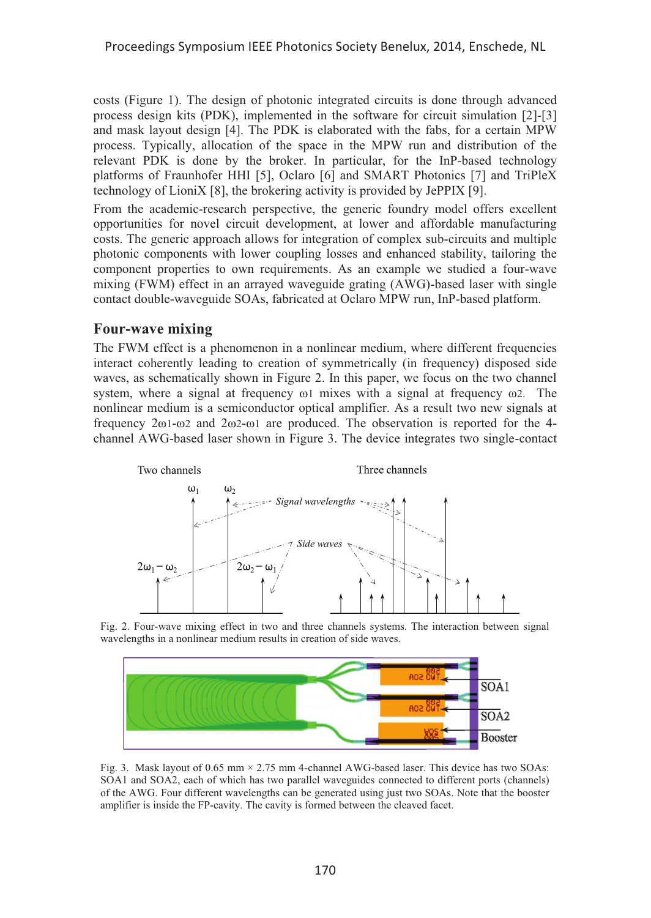costs (Figure 1). The design of photonic integrated circuits is done through advanced process design kits (PDK), implemented in the software for circuit simulation [2]-[3] and mask layout design [4]. The PDK is elaborated with the fabs, for a certain MPW process. Typically, allocation of the space in the MPW run and distribution of the relevant PDK is done by the broker. In particular, for the InP-based technology platforms of Fraunhofer HHI [5], Oclaro [6] and SMART Photonics [7] and TriPleX technology of LioniX [8], the brokering activity is provided by JePPIX [9].

From the academic-research perspective, the generic foundry model offers excellent opportunities for novel circuit development, at lower and affordable manufacturing costs. The generic approach allows for integration of complex sub-circuits and multiple photonic components with lower coupling losses and enhanced stability, tailoring the component properties to own requirements. As an example we studied a four-wave mixing (FWM) effect in an arrayed waveguide grating (AWG)-based laser with single contact double-waveguide SOAs, fabricated at Oclaro MPW run, InP-based platform.

#### **Four-wave mixing**

The FWM effect is a phenomenon in a nonlinear medium, where different frequencies interact coherently leading to creation of symmetrically (in frequency) disposed side waves, as schematically shown in Figure 2. In this paper, we focus on the two channel system, where a signal at frequency ω1 mixes with a signal at frequency ω2. The nonlinear medium is a semiconductor optical amplifier. As a result two new signals at frequency 2ω1-ω2 and 2ω2-ω1 are produced. The observation is reported for the 4 channel AWG-based laser shown in Figure 3. The device integrates two single-contact



Fig. 2. Four-wave mixing effect in two and three channels systems. The interaction between signal wavelengths in a nonlinear medium results in creation of side waves.



Fig. 3. Mask layout of 0.65 mm  $\times$  2.75 mm 4-channel AWG-based laser. This device has two SOAs: SOA1 and SOA2, each of which has two parallel waveguides connected to different ports (channels) of the AWG. Four different wavelengths can be generated using just two SOAs. Note that the booster amplifier is inside the FP-cavity. The cavity is formed between the cleaved facet.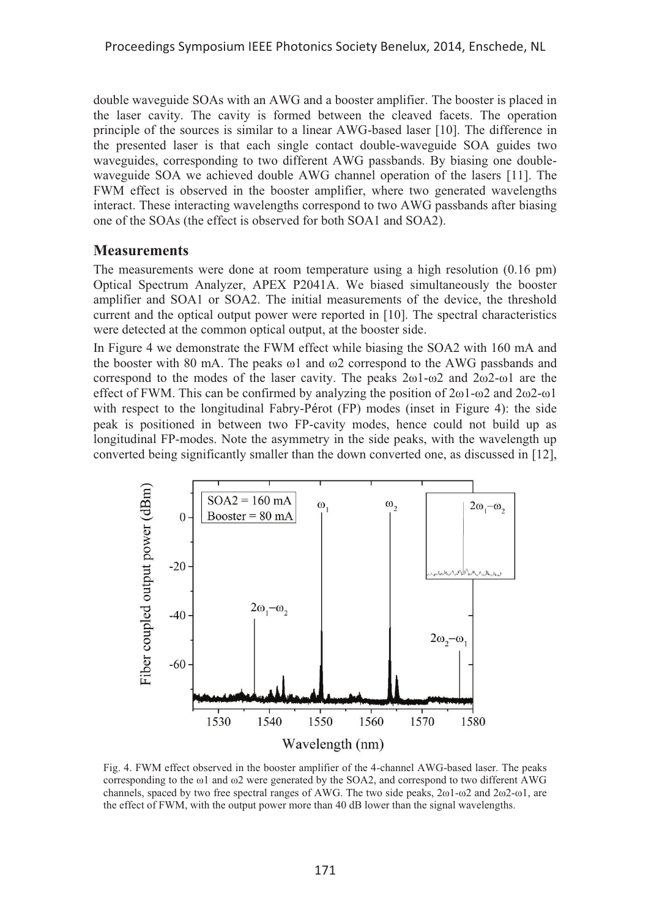double waveguide SOAs with an AWG and a booster amplifier. The booster is placed in the laser cavity. The cavity is formed between the cleaved facets. The operation principle of the sources is similar to a linear AWG-based laser [10]. The difference in the presented laser is that each single contact double-waveguide SOA guides two waveguides, corresponding to two different AWG passbands. By biasing one doublewaveguide SOA we achieved double AWG channel operation of the lasers [11]. The FWM effect is observed in the booster amplifier, where two generated wavelengths interact. These interacting wavelengths correspond to two AWG passbands after biasing one of the SOAs (the effect is observed for both SOA1 and SOA2).

#### **Measurements**

The measurements were done at room temperature using a high resolution (0.16 pm) Optical Spectrum Analyzer, APEX P2041A. We biased simultaneously the booster amplifier and SOA1 or SOA2. The initial measurements of the device, the threshold current and the optical output power were reported in [10]. The spectral characteristics were detected at the common optical output, at the booster side.

In Figure 4 we demonstrate the FWM effect while biasing the SOA2 with 160 mA and the booster with 80 mA. The peaks  $\omega$ 1 and  $\omega$ 2 correspond to the AWG passbands and correspond to the modes of the laser cavity. The peaks 2ω1-ω2 and 2ω2-ω1 are the effect of FWM. This can be confirmed by analyzing the position of 2ω1-ω2 and 2ω2-ω1 with respect to the longitudinal Fabry-Pérot (FP) modes (inset in Figure 4): the side peak is positioned in between two FP-cavity modes, hence could not build up as longitudinal FP-modes. Note the asymmetry in the side peaks, with the wavelength up converted being significantly smaller than the down converted one, as discussed in [12],



Fig. 4. FWM effect observed in the booster amplifier of the 4-channel AWG-based laser. The peaks corresponding to the ω1 and ω2 were generated by the SOA2, and correspond to two different AWG channels, spaced by two free spectral ranges of AWG. The two side peaks, 2ω1-ω2 and 2ω2-ω1, are the effect of FWM, with the output power more than 40 dB lower than the signal wavelengths.